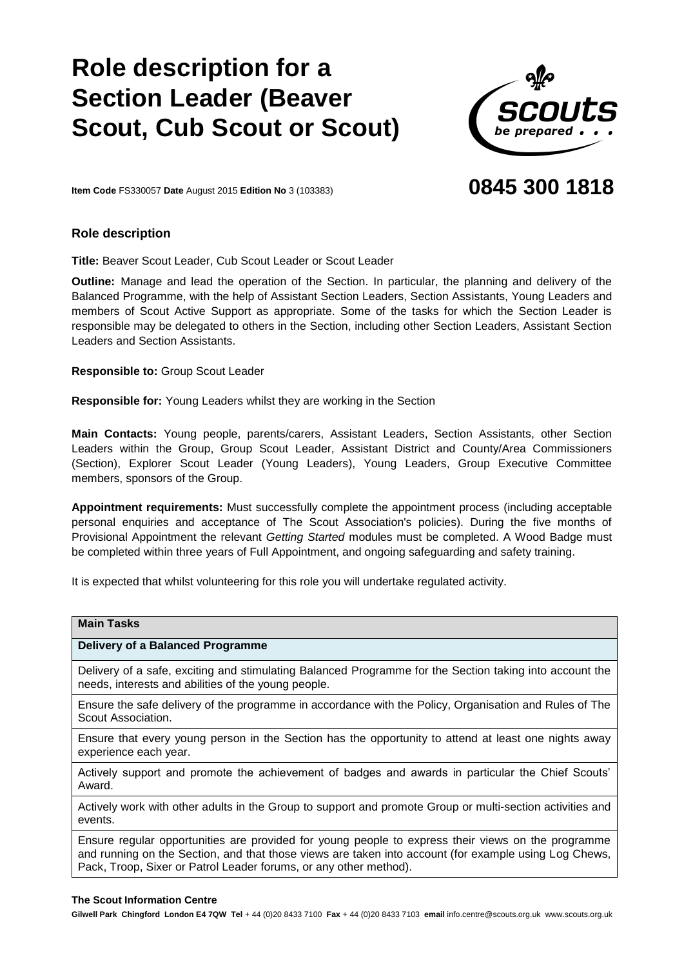# **Role description for Section Leader (Beaver Scout, Cub Scout or Scout)**



# **0845 300 1818**

**Item Code** FS330057 **Date** August 2015 **Edition N o** 3 (103383)

# **Role description**

**Title:** Beaver Scout Leader, Cub Scout Leader or Scout Leader

**Outline:** Manage and lead the operation of the Section. In particular, the planning and delivery of the Balanced Programme, with the help of Assistant Section Leaders, Section Assistants, Young Leaders and members of Scout Active Support as appropriate. Some of the tasks for which the Section Leader is responsible may be delegated to others in the Section, including other Section Leaders, Assistant Section Leaders and Section Assistants.

**Responsible to:** Group Scout Leader

**Responsible for:** Young Leaders whilst they are working in the Section

**Main Contacts:** Young people, parents/carers, Assistant Leaders, Section Assistants, other Section Leaders within the Group, Group Scout Leader, Assistant District and County/Area Commissioners (Section), Explorer Scout Leader (Young Leaders), Young Leaders, Group Executive Committee members, sponsors of the Group.

**Appointment requirements:** Must successfully complete the appointment process (including acceptable personal enquiries and acceptance of The Scout Association's policies). During the five months of Provisional Appointment the relevant *Getting Started* modules must be completed. A Wood Badge must be completed within three years of Full Appointment, and ongoing safeguarding and safety training.

It is expected that whilst volunteering for this role you will undertake regulated activity.

| <b>Main Tasks</b>                                                                                                                                                                                                                                                                |
|----------------------------------------------------------------------------------------------------------------------------------------------------------------------------------------------------------------------------------------------------------------------------------|
| Delivery of a Balanced Programme                                                                                                                                                                                                                                                 |
| Delivery of a safe, exciting and stimulating Balanced Programme for the Section taking into account the<br>needs, interests and abilities of the young people.                                                                                                                   |
| Ensure the safe delivery of the programme in accordance with the Policy, Organisation and Rules of The<br>Scout Association.                                                                                                                                                     |
| Ensure that every young person in the Section has the opportunity to attend at least one nights away<br>experience each year.                                                                                                                                                    |
| Actively support and promote the achievement of badges and awards in particular the Chief Scouts'<br>Award.                                                                                                                                                                      |
| Actively work with other adults in the Group to support and promote Group or multi-section activities and<br>events.                                                                                                                                                             |
| Ensure regular opportunities are provided for young people to express their views on the programme<br>and running on the Section, and that those views are taken into account (for example using Log Chews,<br>Pack, Troop, Sixer or Patrol Leader forums, or any other method). |

#### **The Scout Information Centre**

**Gilwell Park Chingford London E4 7QW Tel** + 44 (0)20 8433 7100 **Fax** + 44 (0)20 8433 7103 **email** info.centre@scouts.org.uk www.scouts.org.uk